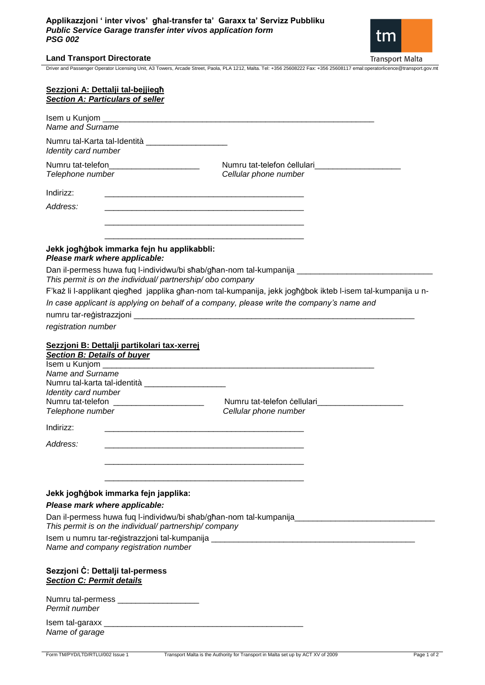## **Applikazzjoni ' inter vivos' għal-transfer ta' Garaxx ta' Servizz Pubbliku** *Public Service Garage transfer inter vivos application form PSG 002*



## **Land Transport Directorate**

Driver and Passenger Operator Licensing Unit, A3 Towers, Arcade Street, Paola, PLA 1212, Malta. Tel: +356 25608222 Fax: +356 25608117 emal:operatorlicence@transport.gov.mt

| Sezzjoni A: Dettalji tal-bejjiegh<br><b>Section A: Particulars of seller</b>                                        |                                                                                                                      |
|---------------------------------------------------------------------------------------------------------------------|----------------------------------------------------------------------------------------------------------------------|
| Name and Surname                                                                                                    |                                                                                                                      |
| Numru tal-Karta tal-Identità _____________________<br>Identity card number                                          |                                                                                                                      |
| Numru tat-telefon______________________<br>Telephone number                                                         | Numru tat-telefon cellulari<br>Cellular phone number                                                                 |
| Indirizz:                                                                                                           | <u> 1980 - Jan James James James James James James James James James James James James James James James James J</u> |
| Address:                                                                                                            |                                                                                                                      |
| Jekk jogħġbok immarka fejn hu applikabbli:                                                                          |                                                                                                                      |
| Please mark where applicable:                                                                                       |                                                                                                                      |
| This permit is on the individual/ partnership/ obo company                                                          | Dan il-permess huwa fuq l-individwu/bi sħab/għan-nom tal-kumpanija ________________________________                  |
|                                                                                                                     | F'każ li l-applikant giegħed japplika għan-nom tal-kumpanija, jekk jogħġbok ikteb l-isem tal-kumpanija u n-          |
|                                                                                                                     | In case applicant is applying on behalf of a company, please write the company's name and                            |
|                                                                                                                     |                                                                                                                      |
| registration number                                                                                                 |                                                                                                                      |
| Sezzjoni B: Dettalji partikolari tax-xerrej<br><b>Section B: Details of buyer</b>                                   |                                                                                                                      |
| Name and Surname<br>Numru tal-karta tal-identità ______________________<br>Identity card number<br>Telephone number | Numru tat-telefon cellulari<br>Cellular phone number                                                                 |
| Indirizz:                                                                                                           |                                                                                                                      |
| Address:                                                                                                            |                                                                                                                      |
| Jekk jogħġbok immarka fejn japplika:<br>Please mark where applicable:                                               | Dan il-permess huwa fuq l-individwu/bi sħab/għan-nom tal-kumpanija_________________________________                  |
| This permit is on the individual/ partnership/ company                                                              |                                                                                                                      |
| Name and company registration number                                                                                |                                                                                                                      |
| Sezzjoni C: Dettalji tal-permess<br><b>Section C: Permit details</b>                                                |                                                                                                                      |
| Numru tal-permess _______________________<br>Permit number                                                          |                                                                                                                      |
|                                                                                                                     |                                                                                                                      |

*Name of garage*